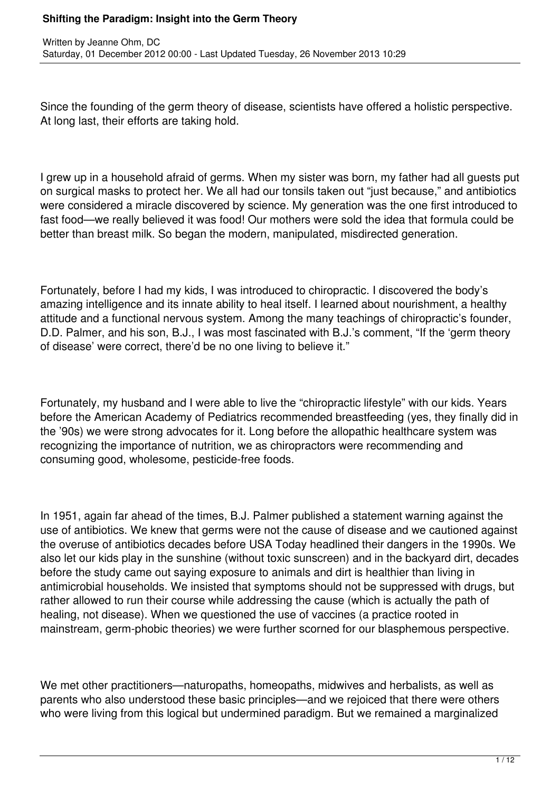Since the founding of the germ theory of disease, scientists have offered a holistic perspective. At long last, their efforts are taking hold.

I grew up in a household afraid of germs. When my sister was born, my father had all guests put on surgical masks to protect her. We all had our tonsils taken out "just because," and antibiotics were considered a miracle discovered by science. My generation was the one first introduced to fast food—we really believed it was food! Our mothers were sold the idea that formula could be better than breast milk. So began the modern, manipulated, misdirected generation.

Fortunately, before I had my kids, I was introduced to chiropractic. I discovered the body's amazing intelligence and its innate ability to heal itself. I learned about nourishment, a healthy attitude and a functional nervous system. Among the many teachings of chiropractic's founder, D.D. Palmer, and his son, B.J., I was most fascinated with B.J.'s comment, "If the 'germ theory of disease' were correct, there'd be no one living to believe it."

Fortunately, my husband and I were able to live the "chiropractic lifestyle" with our kids. Years before the American Academy of Pediatrics recommended breastfeeding (yes, they finally did in the '90s) we were strong advocates for it. Long before the allopathic healthcare system was recognizing the importance of nutrition, we as chiropractors were recommending and consuming good, wholesome, pesticide-free foods.

In 1951, again far ahead of the times, B.J. Palmer published a statement warning against the use of antibiotics. We knew that germs were not the cause of disease and we cautioned against the overuse of antibiotics decades before USA Today headlined their dangers in the 1990s. We also let our kids play in the sunshine (without toxic sunscreen) and in the backyard dirt, decades before the study came out saying exposure to animals and dirt is healthier than living in antimicrobial households. We insisted that symptoms should not be suppressed with drugs, but rather allowed to run their course while addressing the cause (which is actually the path of healing, not disease). When we questioned the use of vaccines (a practice rooted in mainstream, germ-phobic theories) we were further scorned for our blasphemous perspective.

We met other practitioners—naturopaths, homeopaths, midwives and herbalists, as well as parents who also understood these basic principles—and we rejoiced that there were others who were living from this logical but undermined paradigm. But we remained a marginalized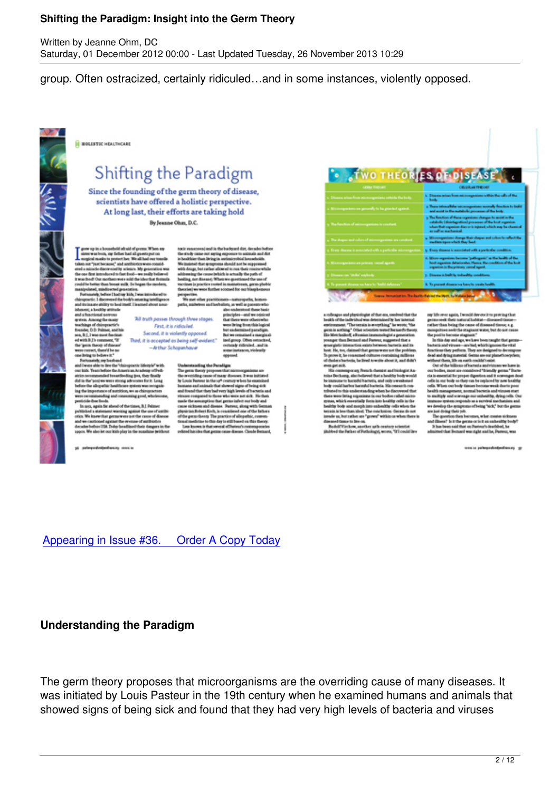Saturday, 01 December 2012 00:00 - Last Updated Tuesday, 26 November 2013 10:29

group. Often ostracized, certainly ridiculed…and in some instances, violently opposed.



**IL NOLISTIC HEALTHCARE** 

Written by Jeanne Ohm, DC

# Shifting the Paradigm

Since the founding of the germ theory of disease, scientists have offered a holistic perspective. At long last, their efforts are taking hold By Jeanne Ohm, D.C.

grow up in a household should algoring. When my sistemwarkers, my fishes had all growts put on<br>singlest models to protect her WestEllad correlation<br>and random particular with all models are transitional to the control<br>bin and a mi the case that introduced to fast food- we advisional. it was food! Our mothers were sold the liber that for uid be better than boxat milk. So began the m

condition of the bound mink for bound mink in the boundary condition of the state of the boundary condition of the boundary condition of the boundary condition of the boundary condition of the boundary condition of the st

teh my bashaad and I was able to live the "chiropractic lifestyle" with and two solutions the control of Nationsystem (the system of the second state of the system of the system of the system of the system of the system of the system of the system of the system of the system of the system of le that food

periodide dese fronds.<br>11 Juin 1944, again for absent of the times, B.J. Pelmer.<br>1950, We know that generaways against the areas of disease.<br>1950, We know that generaways are the crosse of disease.<br>1950, We also let the Po

paterproductionships are as

the study came out saying exposure to animals and disis bealthier than living in an mireddal hannoly We insighed that wrops wid are be mannwith drugs, but can er allowed to muscle ables the cause behich is actually the path of besting not disease). When we questi **Same Maria** 

741 truth passes through three stopes. First, it is ridicular. Second, it is violently opposed. ed a m Third, it is accepted as being self-evident." ised g up. Others a sh rid -Arthur Schopenhauer

> Understanding the Paradigm Undetermediaty the Parentian internal material materials are the averaged theory proposed that internal the material by the controller proposed of the controller behavior in the controller behavior internal behavior in th irian Robert Kolh, in resultiesed one of the<br>a germ theory The practice of ellopathic<br>dimediation to this day is edifferent on the<br>national in that several of Patients (Theory)<br>adhistics that several of Patients (The a that person cause d

| <b>TWO THEORIES OF DISEASE</b>                                      |                                                                                                                                                                                                                  |
|---------------------------------------------------------------------|------------------------------------------------------------------------------------------------------------------------------------------------------------------------------------------------------------------|
| GRAN THROAT                                                         | <b>CRUIA ASTRONO</b>                                                                                                                                                                                             |
| 1. Disassa arisas from microseguráma sobrida tha boda               | s. Oheans when from nice organisms within the calls of the                                                                                                                                                       |
| a Microsynstem on generally to be gooded spatial.                   | a There introduced an excess positions normally function to build<br>and accord in the metabolic processes of the body.                                                                                          |
| <b>The function of advangagement</b> is constant                    | 5 The Resident of these reportions changes to assist in the<br>catalogic (distribution) processes of the boot experient<br>when that experient dies or is injured which may be chemical<br>as well as machinical |
| . The shapes and colors of microsegurations are constant.           | 4. Microsyprints shares that shape and color to reflect the<br>median opposition they had.                                                                                                                       |
| y. Every discousin considered with a particular microseportem.      | 5. Every disaster in accordant with a particular condition.                                                                                                                                                      |
| 5. Microsopackets an primary causal agach.                          | 6. Micro-segueizza bacona "pathoganic" as the banks of the<br>hast against detailerate. Hence, the condition of the last<br>experient is the primary cated agent.                                                |
| <b>Classes on Wilse substa</b>                                      | p. Disease is built by trabankly conditions.                                                                                                                                                                     |
| 5. To present disease we have to "baild defenses                    | 6. To prevent disease on here to create health.                                                                                                                                                                  |
| forecas Increasing inc. The Bank's Ratinal the Work for Wallace be- |                                                                                                                                                                                                                  |

is relinque and physicility<br>in of these say, consider that the single controller than the single<br>control of the index of the state of the state of the state of the<br>persons. The tensorial is an expliciting " he werely, "th marcold.

sporary Presch-themist and histogist Ausine Dechamp, also believed that a healthy body would<br>e immune to harmful bacteria, and only a weakened<br>oly could harbor harmful bacteria. His consucts coned to this understanding when he discovered<br>were listing regulations in our bodies rathed mis ad that is understanding when he discovered that<br>tag expansions in our bodies radio milester<br>amountably form into looking cells in the<br>and morph into unhealthy cells when the<br>than ideal. The conclusion, Germa dis not<br>than ideal. T sie us, but rather are "grown" within us when there is<br>executions or bre on.<br>Rodolf Vietkew, another spile-restory scientist<br>Abed the Father of Pathelopy, wrons, "It's oudeline

my life over again, lowedd-devote it to proving the primarist relationship in the analytic collections of the control literature of the collection behind the component wave, but do not control the position benchman the su 41.14

 $\label{eq:2}$  <br> Institute and viewer-meritor, where the intriguous the bacteria and viewer-meritor, when<br>the problem of the deal and dying monetal them are our planetics of<br>the deal and dying monetal them are our planetics wi

ria is essential for proper digention and it scovenges &<br>cells in our body so they can be replaced by now boalt<br>cells. When our body tassues become weak due to sell.<br>boalth management, normal bacteries and viruses one<br> oda. When our body timues becomes:<br>health management, normal bart<br>to multiply and scarceage our unit<br>immune system responds as a sur<br>we develop the symptoms of bein

immune system requests on a vertical method<br>inn as a strong to the parameter of the system of the parameter<br> $\mathcal{O}$  and the parameter of the system of the system<br>of the boundary of the system and the system of the system

were to palmyredominations of

Appearing in Issue #36. Order A Copy Today

#### **Understanding the Paradigm**

The germ theory proposes that microorganisms are the overriding cause of many diseases. It was initiated by Louis Pasteur in the 19th century when he examined humans and animals that showed signs of being sick and found that they had very high levels of bacteria and viruses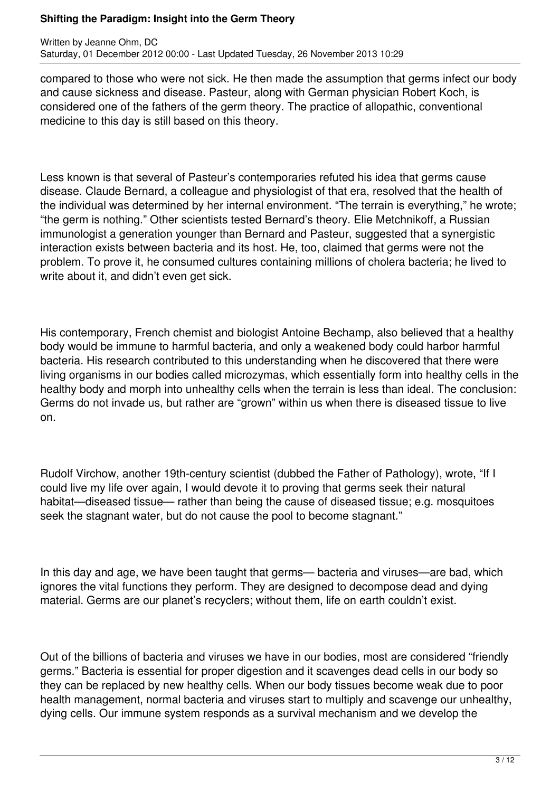compared to those who were not sick. He then made the assumption that germs infect our body and cause sickness and disease. Pasteur, along with German physician Robert Koch, is considered one of the fathers of the germ theory. The practice of allopathic, conventional medicine to this day is still based on this theory.

Less known is that several of Pasteur's contemporaries refuted his idea that germs cause disease. Claude Bernard, a colleague and physiologist of that era, resolved that the health of the individual was determined by her internal environment. "The terrain is everything," he wrote; "the germ is nothing." Other scientists tested Bernard's theory. Elie Metchnikoff, a Russian immunologist a generation younger than Bernard and Pasteur, suggested that a synergistic interaction exists between bacteria and its host. He, too, claimed that germs were not the problem. To prove it, he consumed cultures containing millions of cholera bacteria; he lived to write about it, and didn't even get sick.

His contemporary, French chemist and biologist Antoine Bechamp, also believed that a healthy body would be immune to harmful bacteria, and only a weakened body could harbor harmful bacteria. His research contributed to this understanding when he discovered that there were living organisms in our bodies called microzymas, which essentially form into healthy cells in the healthy body and morph into unhealthy cells when the terrain is less than ideal. The conclusion: Germs do not invade us, but rather are "grown" within us when there is diseased tissue to live on.

Rudolf Virchow, another 19th-century scientist (dubbed the Father of Pathology), wrote, "If I could live my life over again, I would devote it to proving that germs seek their natural habitat—diseased tissue— rather than being the cause of diseased tissue; e.g. mosquitoes seek the stagnant water, but do not cause the pool to become stagnant."

In this day and age, we have been taught that germs— bacteria and viruses—are bad, which ignores the vital functions they perform. They are designed to decompose dead and dying material. Germs are our planet's recyclers; without them, life on earth couldn't exist.

Out of the billions of bacteria and viruses we have in our bodies, most are considered "friendly germs." Bacteria is essential for proper digestion and it scavenges dead cells in our body so they can be replaced by new healthy cells. When our body tissues become weak due to poor health management, normal bacteria and viruses start to multiply and scavenge our unhealthy, dying cells. Our immune system responds as a survival mechanism and we develop the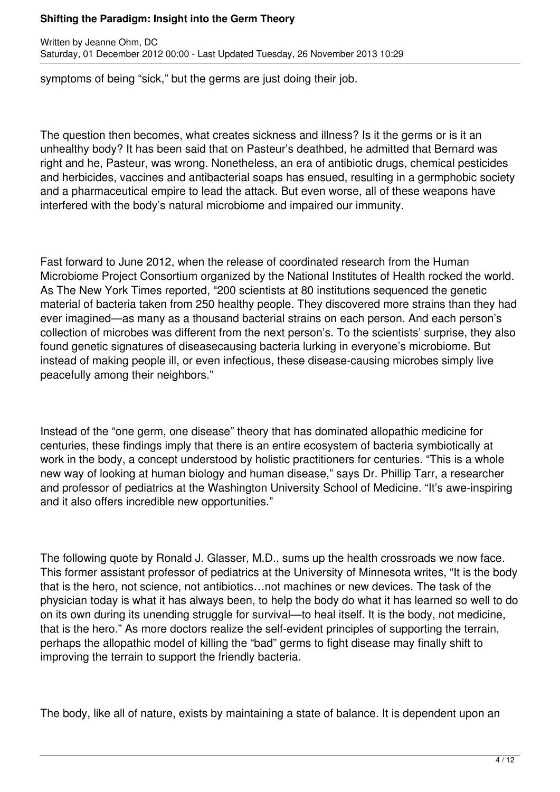symptoms of being "sick," but the germs are just doing their job.

The question then becomes, what creates sickness and illness? Is it the germs or is it an unhealthy body? It has been said that on Pasteur's deathbed, he admitted that Bernard was right and he, Pasteur, was wrong. Nonetheless, an era of antibiotic drugs, chemical pesticides and herbicides, vaccines and antibacterial soaps has ensued, resulting in a germphobic society and a pharmaceutical empire to lead the attack. But even worse, all of these weapons have interfered with the body's natural microbiome and impaired our immunity.

Fast forward to June 2012, when the release of coordinated research from the Human Microbiome Project Consortium organized by the National Institutes of Health rocked the world. As The New York Times reported, "200 scientists at 80 institutions sequenced the genetic material of bacteria taken from 250 healthy people. They discovered more strains than they had ever imagined—as many as a thousand bacterial strains on each person. And each person's collection of microbes was different from the next person's. To the scientists' surprise, they also found genetic signatures of diseasecausing bacteria lurking in everyone's microbiome. But instead of making people ill, or even infectious, these disease-causing microbes simply live peacefully among their neighbors."

Instead of the "one germ, one disease" theory that has dominated allopathic medicine for centuries, these findings imply that there is an entire ecosystem of bacteria symbiotically at work in the body, a concept understood by holistic practitioners for centuries. "This is a whole new way of looking at human biology and human disease," says Dr. Phillip Tarr, a researcher and professor of pediatrics at the Washington University School of Medicine. "It's awe-inspiring and it also offers incredible new opportunities."

The following quote by Ronald J. Glasser, M.D., sums up the health crossroads we now face. This former assistant professor of pediatrics at the University of Minnesota writes, "It is the body that is the hero, not science, not antibiotics…not machines or new devices. The task of the physician today is what it has always been, to help the body do what it has learned so well to do on its own during its unending struggle for survival—to heal itself. It is the body, not medicine, that is the hero." As more doctors realize the self-evident principles of supporting the terrain, perhaps the allopathic model of killing the "bad" germs to fight disease may finally shift to improving the terrain to support the friendly bacteria.

The body, like all of nature, exists by maintaining a state of balance. It is dependent upon an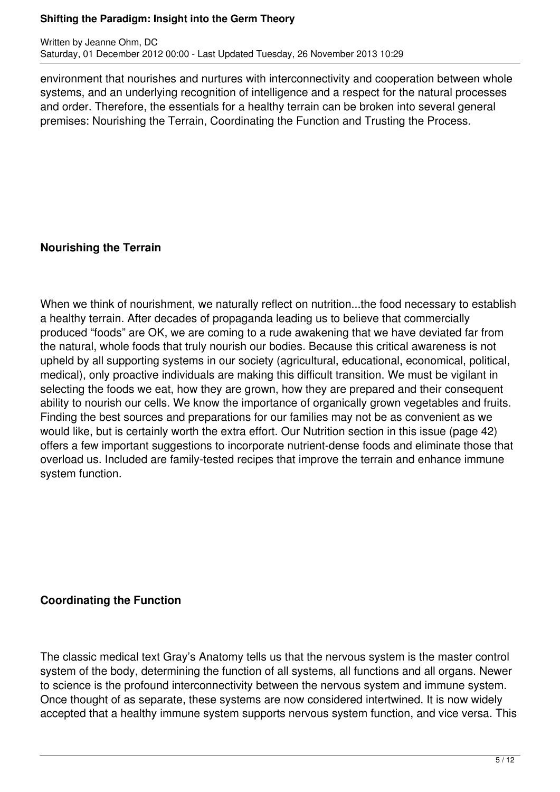environment that nourishes and nurtures with interconnectivity and cooperation between whole systems, and an underlying recognition of intelligence and a respect for the natural processes and order. Therefore, the essentials for a healthy terrain can be broken into several general premises: Nourishing the Terrain, Coordinating the Function and Trusting the Process.

## **Nourishing the Terrain**

When we think of nourishment, we naturally reflect on nutrition...the food necessary to establish a healthy terrain. After decades of propaganda leading us to believe that commercially produced "foods" are OK, we are coming to a rude awakening that we have deviated far from the natural, whole foods that truly nourish our bodies. Because this critical awareness is not upheld by all supporting systems in our society (agricultural, educational, economical, political, medical), only proactive individuals are making this difficult transition. We must be vigilant in selecting the foods we eat, how they are grown, how they are prepared and their consequent ability to nourish our cells. We know the importance of organically grown vegetables and fruits. Finding the best sources and preparations for our families may not be as convenient as we would like, but is certainly worth the extra effort. Our Nutrition section in this issue (page 42) offers a few important suggestions to incorporate nutrient-dense foods and eliminate those that overload us. Included are family-tested recipes that improve the terrain and enhance immune system function.

## **Coordinating the Function**

The classic medical text Gray's Anatomy tells us that the nervous system is the master control system of the body, determining the function of all systems, all functions and all organs. Newer to science is the profound interconnectivity between the nervous system and immune system. Once thought of as separate, these systems are now considered intertwined. It is now widely accepted that a healthy immune system supports nervous system function, and vice versa. This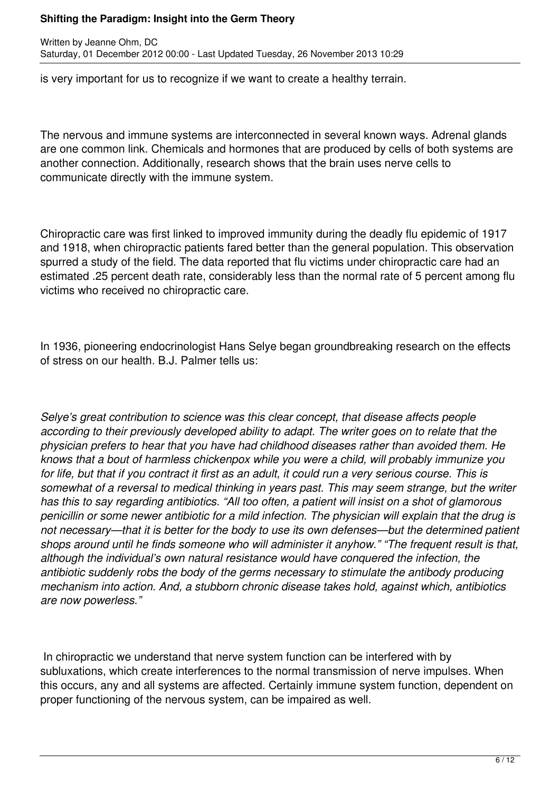is very important for us to recognize if we want to create a healthy terrain.

The nervous and immune systems are interconnected in several known ways. Adrenal glands are one common link. Chemicals and hormones that are produced by cells of both systems are another connection. Additionally, research shows that the brain uses nerve cells to communicate directly with the immune system.

Chiropractic care was first linked to improved immunity during the deadly flu epidemic of 1917 and 1918, when chiropractic patients fared better than the general population. This observation spurred a study of the field. The data reported that flu victims under chiropractic care had an estimated .25 percent death rate, considerably less than the normal rate of 5 percent among flu victims who received no chiropractic care.

In 1936, pioneering endocrinologist Hans Selye began groundbreaking research on the effects of stress on our health. B.J. Palmer tells us:

*Selye's great contribution to science was this clear concept, that disease affects people according to their previously developed ability to adapt. The writer goes on to relate that the physician prefers to hear that you have had childhood diseases rather than avoided them. He knows that a bout of harmless chickenpox while you were a child, will probably immunize you for life, but that if you contract it first as an adult, it could run a very serious course. This is somewhat of a reversal to medical thinking in years past. This may seem strange, but the writer has this to say regarding antibiotics. "All too often, a patient will insist on a shot of glamorous penicillin or some newer antibiotic for a mild infection. The physician will explain that the drug is not necessary—that it is better for the body to use its own defenses—but the determined patient shops around until he finds someone who will administer it anyhow." "The frequent result is that, although the individual's own natural resistance would have conquered the infection, the antibiotic suddenly robs the body of the germs necessary to stimulate the antibody producing mechanism into action. And, a stubborn chronic disease takes hold, against which, antibiotics are now powerless."*

 In chiropractic we understand that nerve system function can be interfered with by subluxations, which create interferences to the normal transmission of nerve impulses. When this occurs, any and all systems are affected. Certainly immune system function, dependent on proper functioning of the nervous system, can be impaired as well.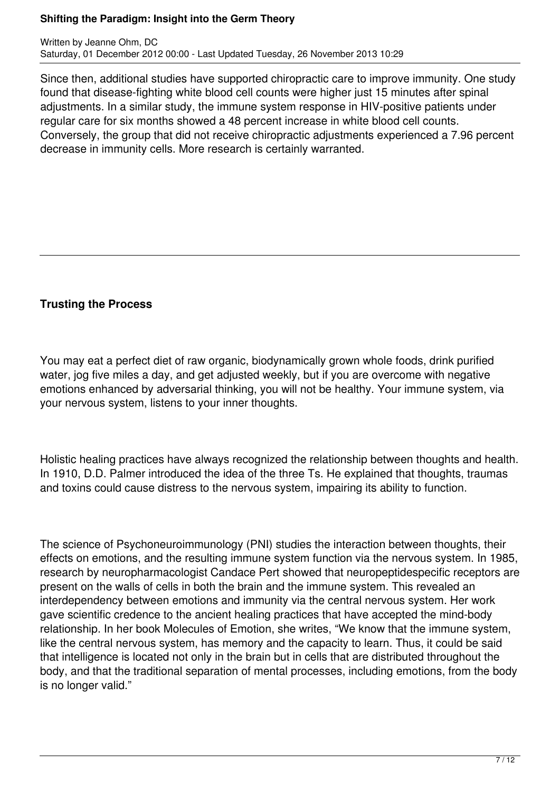Written by Jeanne Ohm, DC Saturday, 01 December 2012 00:00 - Last Updated Tuesday, 26 November 2013 10:29

Since then, additional studies have supported chiropractic care to improve immunity. One study found that disease-fighting white blood cell counts were higher just 15 minutes after spinal adjustments. In a similar study, the immune system response in HIV-positive patients under regular care for six months showed a 48 percent increase in white blood cell counts. Conversely, the group that did not receive chiropractic adjustments experienced a 7.96 percent decrease in immunity cells. More research is certainly warranted.

## **Trusting the Process**

You may eat a perfect diet of raw organic, biodynamically grown whole foods, drink purified water, jog five miles a day, and get adjusted weekly, but if you are overcome with negative emotions enhanced by adversarial thinking, you will not be healthy. Your immune system, via your nervous system, listens to your inner thoughts.

Holistic healing practices have always recognized the relationship between thoughts and health. In 1910, D.D. Palmer introduced the idea of the three Ts. He explained that thoughts, traumas and toxins could cause distress to the nervous system, impairing its ability to function.

The science of Psychoneuroimmunology (PNI) studies the interaction between thoughts, their effects on emotions, and the resulting immune system function via the nervous system. In 1985, research by neuropharmacologist Candace Pert showed that neuropeptidespecific receptors are present on the walls of cells in both the brain and the immune system. This revealed an interdependency between emotions and immunity via the central nervous system. Her work gave scientific credence to the ancient healing practices that have accepted the mind-body relationship. In her book Molecules of Emotion, she writes, "We know that the immune system, like the central nervous system, has memory and the capacity to learn. Thus, it could be said that intelligence is located not only in the brain but in cells that are distributed throughout the body, and that the traditional separation of mental processes, including emotions, from the body is no longer valid."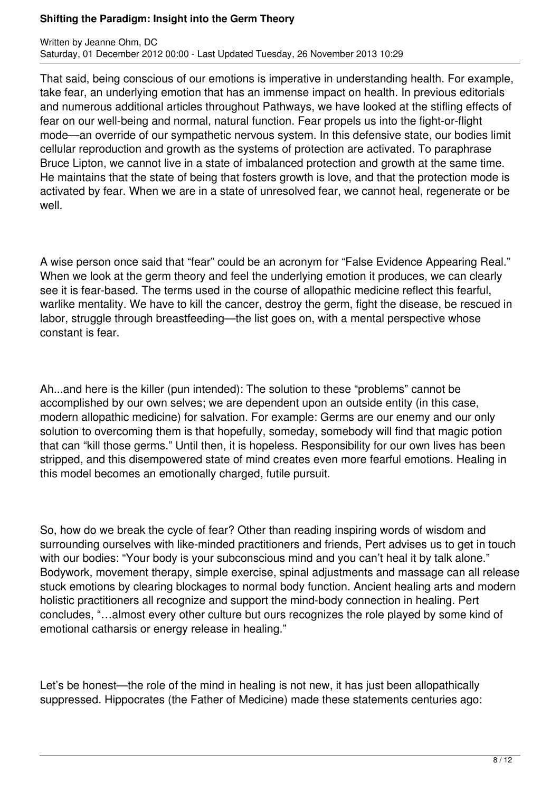That said, being conscious of our emotions is imperative in understanding health. For example, take fear, an underlying emotion that has an immense impact on health. In previous editorials and numerous additional articles throughout Pathways, we have looked at the stifling effects of fear on our well-being and normal, natural function. Fear propels us into the fight-or-flight mode—an override of our sympathetic nervous system. In this defensive state, our bodies limit cellular reproduction and growth as the systems of protection are activated. To paraphrase Bruce Lipton, we cannot live in a state of imbalanced protection and growth at the same time. He maintains that the state of being that fosters growth is love, and that the protection mode is activated by fear. When we are in a state of unresolved fear, we cannot heal, regenerate or be well.

A wise person once said that "fear" could be an acronym for "False Evidence Appearing Real." When we look at the germ theory and feel the underlying emotion it produces, we can clearly see it is fear-based. The terms used in the course of allopathic medicine reflect this fearful, warlike mentality. We have to kill the cancer, destroy the germ, fight the disease, be rescued in labor, struggle through breastfeeding—the list goes on, with a mental perspective whose constant is fear.

Ah...and here is the killer (pun intended): The solution to these "problems" cannot be accomplished by our own selves; we are dependent upon an outside entity (in this case, modern allopathic medicine) for salvation. For example: Germs are our enemy and our only solution to overcoming them is that hopefully, someday, somebody will find that magic potion that can "kill those germs." Until then, it is hopeless. Responsibility for our own lives has been stripped, and this disempowered state of mind creates even more fearful emotions. Healing in this model becomes an emotionally charged, futile pursuit.

So, how do we break the cycle of fear? Other than reading inspiring words of wisdom and surrounding ourselves with like-minded practitioners and friends, Pert advises us to get in touch with our bodies: "Your body is your subconscious mind and you can't heal it by talk alone." Bodywork, movement therapy, simple exercise, spinal adjustments and massage can all release stuck emotions by clearing blockages to normal body function. Ancient healing arts and modern holistic practitioners all recognize and support the mind-body connection in healing. Pert concludes, "…almost every other culture but ours recognizes the role played by some kind of emotional catharsis or energy release in healing."

Let's be honest—the role of the mind in healing is not new, it has just been allopathically suppressed. Hippocrates (the Father of Medicine) made these statements centuries ago: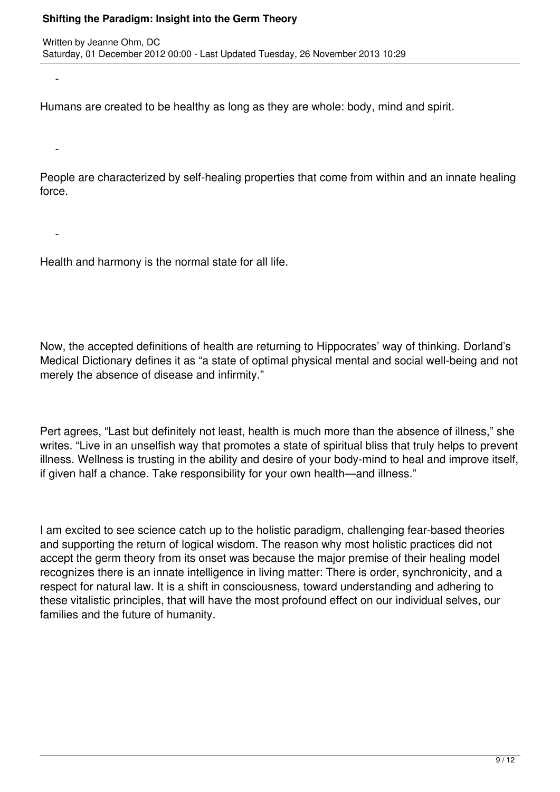$\sim$   $-$ 

 $\sim$   $-$ 

 $\sim$   $-$ 

Humans are created to be healthy as long as they are whole: body, mind and spirit.

People are characterized by self-healing properties that come from within and an innate healing force.

Health and harmony is the normal state for all life.

Now, the accepted definitions of health are returning to Hippocrates' way of thinking. Dorland's Medical Dictionary defines it as "a state of optimal physical mental and social well-being and not merely the absence of disease and infirmity."

Pert agrees, "Last but definitely not least, health is much more than the absence of illness," she writes. "Live in an unselfish way that promotes a state of spiritual bliss that truly helps to prevent illness. Wellness is trusting in the ability and desire of your body-mind to heal and improve itself, if given half a chance. Take responsibility for your own health—and illness."

I am excited to see science catch up to the holistic paradigm, challenging fear-based theories and supporting the return of logical wisdom. The reason why most holistic practices did not accept the germ theory from its onset was because the major premise of their healing model recognizes there is an innate intelligence in living matter: There is order, synchronicity, and a respect for natural law. It is a shift in consciousness, toward understanding and adhering to these vitalistic principles, that will have the most profound effect on our individual selves, our families and the future of humanity.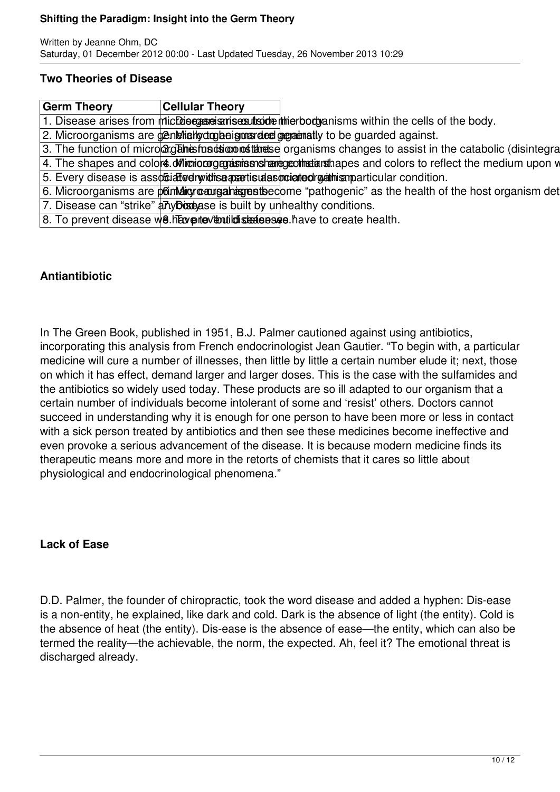#### **Two Theories of Disease**

| <b>Germ Theory</b> | <b>Cellular Theory</b>                                                |                                                                                                                       |
|--------------------|-----------------------------------------------------------------------|-----------------------------------------------------------------------------------------------------------------------|
|                    |                                                                       | 1. Disease arises from michbiograme anisex that the therbody anisms within the cells of the body.                     |
|                    |                                                                       | 2. Microorganisms are generially draining the graduativ to be guarded against.                                        |
|                    |                                                                       | 3. The function of microdig antes to addition of the example arganisms changes to assist in the catabolic (disintegra |
|                    |                                                                       | 4. The shapes and colors of interiomographic instrument and problems and colors to reflect the medium upon $w$        |
|                    |                                                                       | 5. Every disease is assoftiated twithis a assitisual as projected regatinism particular condition.                    |
|                    |                                                                       | 6. Microorganisms are point digroeurgal interpreties "pathogenic" as the health of the host organism det              |
|                    | 7. Disease can "strike" any boxesse is built by unhealthy conditions. |                                                                                                                       |
|                    |                                                                       | 8. To prevent disease w8. htaxes to ventilate the section of the dealth.                                              |

## **Antiantibiotic**

In The Green Book, published in 1951, B.J. Palmer cautioned against using antibiotics, incorporating this analysis from French endocrinologist Jean Gautier. "To begin with, a particular medicine will cure a number of illnesses, then little by little a certain number elude it; next, those on which it has effect, demand larger and larger doses. This is the case with the sulfamides and the antibiotics so widely used today. These products are so ill adapted to our organism that a certain number of individuals become intolerant of some and 'resist' others. Doctors cannot succeed in understanding why it is enough for one person to have been more or less in contact with a sick person treated by antibiotics and then see these medicines become ineffective and even provoke a serious advancement of the disease. It is because modern medicine finds its therapeutic means more and more in the retorts of chemists that it cares so little about physiological and endocrinological phenomena."

### **Lack of Ease**

D.D. Palmer, the founder of chiropractic, took the word disease and added a hyphen: Dis-ease is a non-entity, he explained, like dark and cold. Dark is the absence of light (the entity). Cold is the absence of heat (the entity). Dis-ease is the absence of ease—the entity, which can also be termed the reality—the achievable, the norm, the expected. Ah, feel it? The emotional threat is discharged already.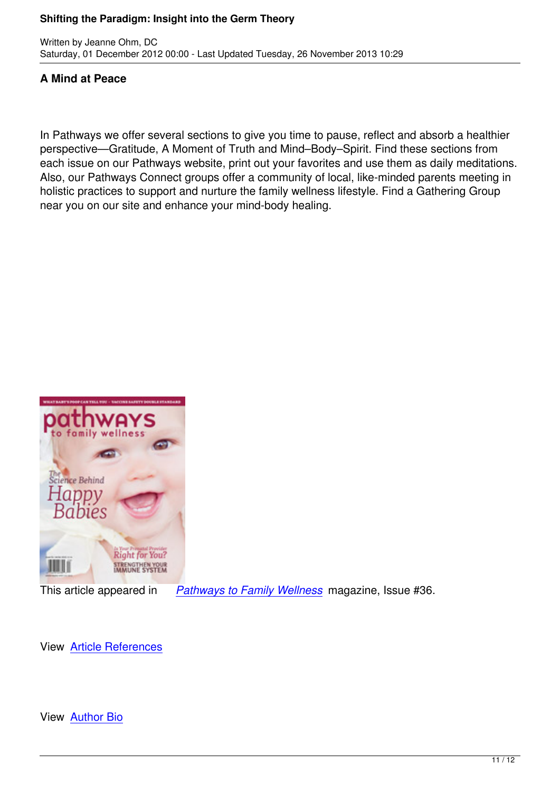## **A Mind at Peace**

Written by Jeanne Ohm, DC

In Pathways we offer several sections to give you time to pause, reflect and absorb a healthier perspective—Gratitude, A Moment of Truth and Mind–Body–Spirit. Find these sections from each issue on our Pathways website, print out your favorites and use them as daily meditations. Also, our Pathways Connect groups offer a community of local, like-minded parents meeting in holistic practices to support and nurture the family wellness lifestyle. Find a Gathering Group near you on our site and enhance your mind-body healing.



This article appeared in *Pathways to Family Wellness* magazine, Issue #36.

View Article References

View Author Bio